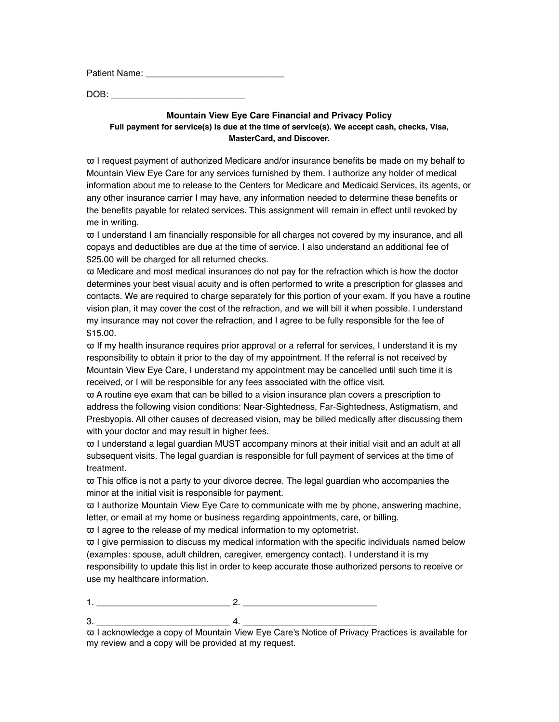Patient Name: \_\_\_\_\_\_\_\_\_\_\_\_\_\_\_\_\_\_\_\_\_\_\_\_\_\_\_\_

 $DOB:$ 

## **Mountain View Eye Care Financial and Privacy Policy Full payment for service(s) is due at the time of service(s). We accept cash, checks, Visa, MasterCard, and Discover.**

 $\overline{\omega}$  I request payment of authorized Medicare and/or insurance benefits be made on my behalf to Mountain View Eye Care for any services furnished by them. I authorize any holder of medical information about me to release to the Centers for Medicare and Medicaid Services, its agents, or any other insurance carrier I may have, any information needed to determine these benefits or the benefits payable for related services. This assignment will remain in effect until revoked by me in writing.

 $\overline{\omega}$  I understand I am financially responsible for all charges not covered by my insurance, and all copays and deductibles are due at the time of service. I also understand an additional fee of \$25.00 will be charged for all returned checks.

 $\overline{\omega}$  Medicare and most medical insurances do not pay for the refraction which is how the doctor determines your best visual acuity and is often performed to write a prescription for glasses and contacts. We are required to charge separately for this portion of your exam. If you have a routine vision plan, it may cover the cost of the refraction, and we will bill it when possible. I understand my insurance may not cover the refraction, and I agree to be fully responsible for the fee of \$15.00.

 $\overline{\omega}$  If my health insurance requires prior approval or a referral for services, I understand it is my responsibility to obtain it prior to the day of my appointment. If the referral is not received by Mountain View Eye Care, I understand my appointment may be cancelled until such time it is received, or I will be responsible for any fees associated with the office visit.

 $\overline{\omega}$  A routine eye exam that can be billed to a vision insurance plan covers a prescription to address the following vision conditions: Near-Sightedness, Far-Sightedness, Astigmatism, and Presbyopia. All other causes of decreased vision, may be billed medically after discussing them with your doctor and may result in higher fees.

 $\overline{\omega}$  I understand a legal guardian MUST accompany minors at their initial visit and an adult at all subsequent visits. The legal guardian is responsible for full payment of services at the time of treatment.

ϖ This office is not a party to your divorce decree. The legal guardian who accompanies the minor at the initial visit is responsible for payment.

ϖ I authorize Mountain View Eye Care to communicate with me by phone, answering machine, letter, or email at my home or business regarding appointments, care, or billing.

ϖ I agree to the release of my medical information to my optometrist.

 $\overline{\omega}$  I give permission to discuss my medical information with the specific individuals named below (examples: spouse, adult children, caregiver, emergency contact). I understand it is my responsibility to update this list in order to keep accurate those authorized persons to receive or use my healthcare information.

1. \_\_\_\_\_\_\_\_\_\_\_\_\_\_\_\_\_\_\_\_\_\_\_\_\_\_\_ 2. \_\_\_\_\_\_\_\_\_\_\_\_\_\_\_\_\_\_\_\_\_\_\_\_\_\_\_

3. \_\_\_\_\_\_\_\_\_\_\_\_\_\_\_\_\_\_\_\_\_\_\_\_\_\_\_ 4. \_\_\_\_\_\_\_\_\_\_\_\_\_\_\_\_\_\_\_\_\_\_\_\_\_\_\_ ϖ I acknowledge a copy of Mountain View Eye Care's Notice of Privacy Practices is available for my review and a copy will be provided at my request.